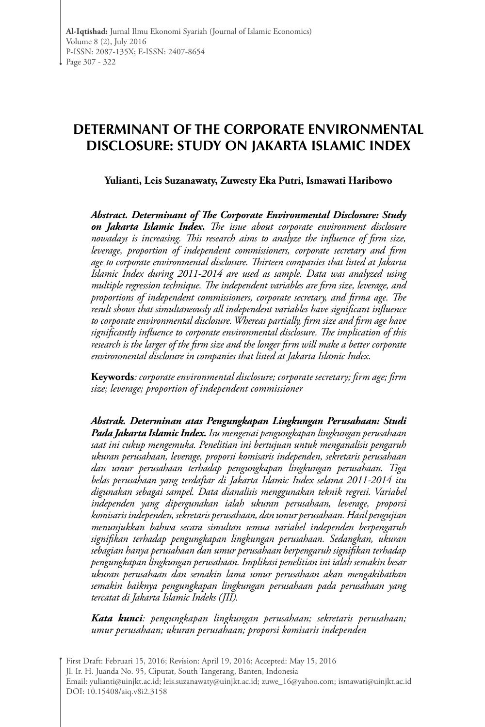# **DETERMINANT OF THE CORPORATE ENVIRONMENTAL DISCLOSURE: STUDY ON JAKARTA ISLAMIC INDEX**

**Yulianti, Leis Suzanawaty, Zuwesty Eka Putri, Ismawati Haribowo**

*Abstract. Determinant of The Corporate Environmental Disclosure: Study on Jakarta Islamic Index***.** *The issue about corporate environment disclosure nowadays is increasing. This research aims to analyze the influence of firm size, leverage, proportion of independent commissioners, corporate secretary and firm age to corporate environmental disclosure. Thirteen companies that listed at Jakarta Islamic Index during 2011-2014 are used as sample. Data was analyzed using multiple regression technique. The independent variables are firm size, leverage, and proportions of independent commissioners, corporate secretary, and firma age. The result shows that simultaneously all independent variables have significant influence to corporate environmental disclosure. Whereas partially, firm size and firm age have significantly influence to corporate environmental disclosure. The implication of this research is the larger of the firm size and the longer firm will make a better corporate environmental disclosure in companies that listed at Jakarta Islamic Index.*

**Keywords***: corporate environmental disclosure; corporate secretary; firm age; firm size; leverage; proportion of independent commissioner*

*Abstrak. Determinan atas Pengungkapan Lingkungan Perusahaan: Studi Pada Jakarta Islamic Index. Isu mengenai pengungkapan lingkungan perusahaan saat ini cukup mengemuka. Penelitian ini bertujuan untuk menganalisis pengaruh ukuran perusahaan, leverage, proporsi komisaris independen, sekretaris perusahaan dan umur perusahaan terhadap pengungkapan lingkungan perusahaan. Tiga belas perusahaan yang terdaftar di Jakarta Islamic Index selama 2011-2014 itu digunakan sebagai sampel. Data dianalisis menggunakan teknik regresi. Variabel independen yang dipergunakan ialah ukuran perusahaan, leverage, proporsi komisaris independen, sekretaris perusahaan, dan umur perusahaan. Hasil pengujian menunjukkan bahwa secara simultan semua variabel independen berpengaruh signifikan terhadap pengungkapan lingkungan perusahaan. Sedangkan, ukuran sebagian hanya perusahaan dan umur perusahaan berpengaruh signifikan terhadap pengungkapan lingkungan perusahaan. Implikasi penelitian ini ialah semakin besar ukuran perusahaan dan semakin lama umur perusahaan akan mengakibatkan semakin baiknya pengungkapan lingkungan perusahaan pada perusahaan yang tercatat di Jakarta Islamic Indeks (JII).*

*Kata kunci: pengungkapan lingkungan perusahaan; sekretaris perusahaan; umur perusahaan; ukuran perusahaan; proporsi komisaris independen*

First Draft: Februari 15, 2016; Revision: April 19, 2016; Accepted: May 15, 2016 Jl. Ir. H. Juanda No. 95, Ciputat, South Tangerang, Banten, Indonesia Email: yulianti@uinjkt.ac.id; leis.suzanawaty@uinjkt.ac.id; zuwe\_16@yahoo.com; ismawati@uinjkt.ac.id DOI: 10.15408/aiq.v8i2.3158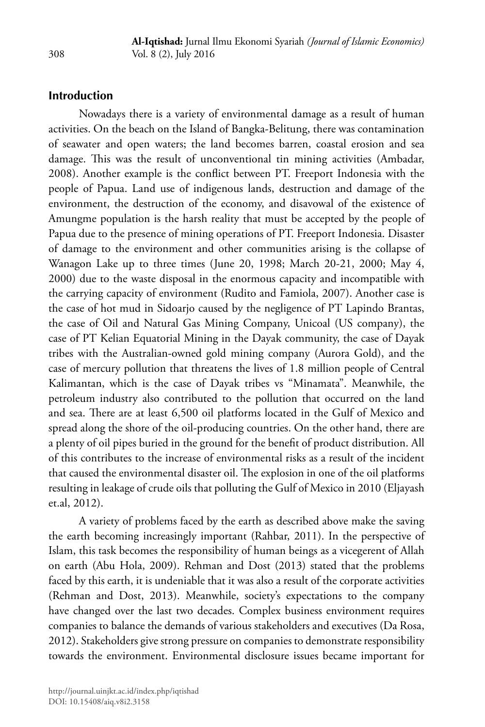### **Introduction**

Nowadays there is a variety of environmental damage as a result of human activities. On the beach on the Island of Bangka-Belitung, there was contamination of seawater and open waters; the land becomes barren, coastal erosion and sea damage. This was the result of unconventional tin mining activities (Ambadar, 2008). Another example is the conflict between PT. Freeport Indonesia with the people of Papua. Land use of indigenous lands, destruction and damage of the environment, the destruction of the economy, and disavowal of the existence of Amungme population is the harsh reality that must be accepted by the people of Papua due to the presence of mining operations of PT. Freeport Indonesia. Disaster of damage to the environment and other communities arising is the collapse of Wanagon Lake up to three times (June 20, 1998; March 20-21, 2000; May 4, 2000) due to the waste disposal in the enormous capacity and incompatible with the carrying capacity of environment (Rudito and Famiola, 2007). Another case is the case of hot mud in Sidoarjo caused by the negligence of PT Lapindo Brantas, the case of Oil and Natural Gas Mining Company, Unicoal (US company), the case of PT Kelian Equatorial Mining in the Dayak community, the case of Dayak tribes with the Australian-owned gold mining company (Aurora Gold), and the case of mercury pollution that threatens the lives of 1.8 million people of Central Kalimantan, which is the case of Dayak tribes vs "Minamata". Meanwhile, the petroleum industry also contributed to the pollution that occurred on the land and sea. There are at least 6,500 oil platforms located in the Gulf of Mexico and spread along the shore of the oil-producing countries. On the other hand, there are a plenty of oil pipes buried in the ground for the benefit of product distribution. All of this contributes to the increase of environmental risks as a result of the incident that caused the environmental disaster oil. The explosion in one of the oil platforms resulting in leakage of crude oils that polluting the Gulf of Mexico in 2010 (Eljayash et.al, 2012).

A variety of problems faced by the earth as described above make the saving the earth becoming increasingly important (Rahbar, 2011). In the perspective of Islam, this task becomes the responsibility of human beings as a vicegerent of Allah on earth (Abu Hola, 2009). Rehman and Dost (2013) stated that the problems faced by this earth, it is undeniable that it was also a result of the corporate activities (Rehman and Dost, 2013). Meanwhile, society's expectations to the company have changed over the last two decades. Complex business environment requires companies to balance the demands of various stakeholders and executives (Da Rosa, 2012). Stakeholders give strong pressure on companies to demonstrate responsibility towards the environment. Environmental disclosure issues became important for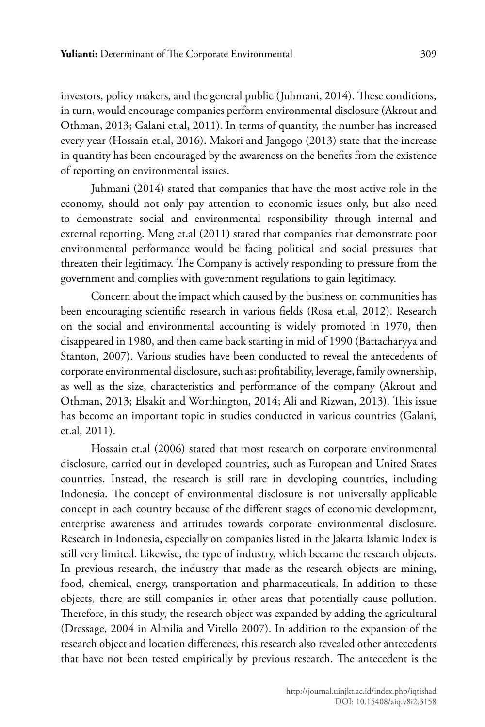investors, policy makers, and the general public (Juhmani, 2014). These conditions, in turn, would encourage companies perform environmental disclosure (Akrout and Othman, 2013; Galani et.al, 2011). In terms of quantity, the number has increased every year (Hossain et.al, 2016). Makori and Jangogo (2013) state that the increase in quantity has been encouraged by the awareness on the benefits from the existence of reporting on environmental issues.

Juhmani (2014) stated that companies that have the most active role in the economy, should not only pay attention to economic issues only, but also need to demonstrate social and environmental responsibility through internal and external reporting. Meng et.al (2011) stated that companies that demonstrate poor environmental performance would be facing political and social pressures that threaten their legitimacy. The Company is actively responding to pressure from the government and complies with government regulations to gain legitimacy.

Concern about the impact which caused by the business on communities has been encouraging scientific research in various fields (Rosa et.al, 2012). Research on the social and environmental accounting is widely promoted in 1970, then disappeared in 1980, and then came back starting in mid of 1990 (Battacharyya and Stanton, 2007). Various studies have been conducted to reveal the antecedents of corporate environmental disclosure, such as: profitability, leverage, family ownership, as well as the size, characteristics and performance of the company (Akrout and Othman, 2013; Elsakit and Worthington, 2014; Ali and Rizwan, 2013). This issue has become an important topic in studies conducted in various countries (Galani, et.al, 2011).

Hossain et.al (2006) stated that most research on corporate environmental disclosure, carried out in developed countries, such as European and United States countries. Instead, the research is still rare in developing countries, including Indonesia. The concept of environmental disclosure is not universally applicable concept in each country because of the different stages of economic development, enterprise awareness and attitudes towards corporate environmental disclosure. Research in Indonesia, especially on companies listed in the Jakarta Islamic Index is still very limited. Likewise, the type of industry, which became the research objects. In previous research, the industry that made as the research objects are mining, food, chemical, energy, transportation and pharmaceuticals. In addition to these objects, there are still companies in other areas that potentially cause pollution. Therefore, in this study, the research object was expanded by adding the agricultural (Dressage, 2004 in Almilia and Vitello 2007). In addition to the expansion of the research object and location differences, this research also revealed other antecedents that have not been tested empirically by previous research. The antecedent is the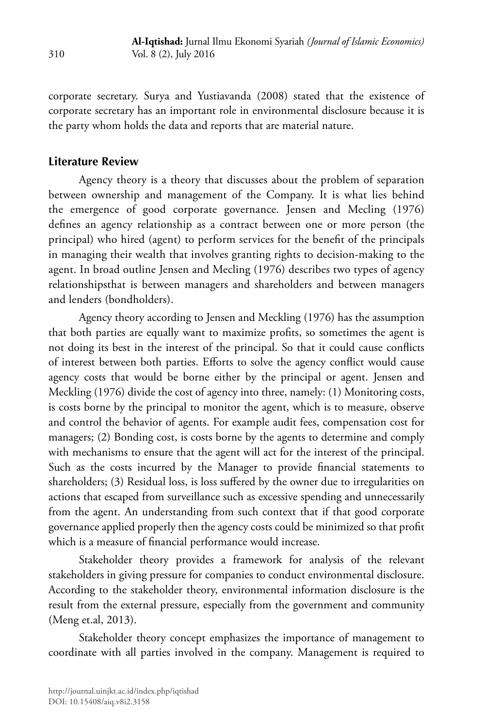corporate secretary. Surya and Yustiavanda (2008) stated that the existence of corporate secretary has an important role in environmental disclosure because it is the party whom holds the data and reports that are material nature.

## **Literature Review**

Agency theory is a theory that discusses about the problem of separation between ownership and management of the Company. It is what lies behind the emergence of good corporate governance. Jensen and Mecling (1976) defines an agency relationship as a contract between one or more person (the principal) who hired (agent) to perform services for the benefit of the principals in managing their wealth that involves granting rights to decision-making to the agent. In broad outline Jensen and Mecling (1976) describes two types of agency relationshipsthat is between managers and shareholders and between managers and lenders (bondholders).

Agency theory according to Jensen and Meckling (1976) has the assumption that both parties are equally want to maximize profits, so sometimes the agent is not doing its best in the interest of the principal. So that it could cause conflicts of interest between both parties. Efforts to solve the agency conflict would cause agency costs that would be borne either by the principal or agent. Jensen and Meckling (1976) divide the cost of agency into three, namely: (1) Monitoring costs, is costs borne by the principal to monitor the agent, which is to measure, observe and control the behavior of agents. For example audit fees, compensation cost for managers; (2) Bonding cost, is costs borne by the agents to determine and comply with mechanisms to ensure that the agent will act for the interest of the principal. Such as the costs incurred by the Manager to provide financial statements to shareholders; (3) Residual loss, is loss suffered by the owner due to irregularities on actions that escaped from surveillance such as excessive spending and unnecessarily from the agent. An understanding from such context that if that good corporate governance applied properly then the agency costs could be minimized so that profit which is a measure of financial performance would increase.

Stakeholder theory provides a framework for analysis of the relevant stakeholders in giving pressure for companies to conduct environmental disclosure. According to the stakeholder theory, environmental information disclosure is the result from the external pressure, especially from the government and community (Meng et.al, 2013).

Stakeholder theory concept emphasizes the importance of management to coordinate with all parties involved in the company. Management is required to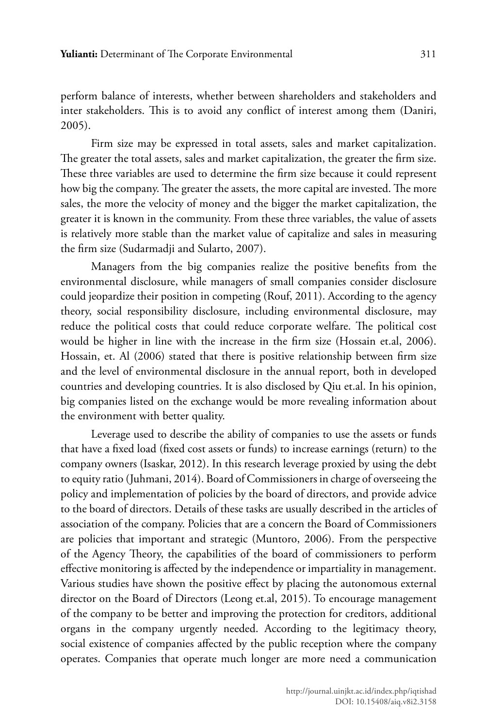perform balance of interests, whether between shareholders and stakeholders and inter stakeholders. This is to avoid any conflict of interest among them (Daniri, 2005).

Firm size may be expressed in total assets, sales and market capitalization. The greater the total assets, sales and market capitalization, the greater the firm size. These three variables are used to determine the firm size because it could represent how big the company. The greater the assets, the more capital are invested. The more sales, the more the velocity of money and the bigger the market capitalization, the greater it is known in the community. From these three variables, the value of assets is relatively more stable than the market value of capitalize and sales in measuring the firm size (Sudarmadji and Sularto, 2007).

Managers from the big companies realize the positive benefits from the environmental disclosure, while managers of small companies consider disclosure could jeopardize their position in competing (Rouf, 2011). According to the agency theory, social responsibility disclosure, including environmental disclosure, may reduce the political costs that could reduce corporate welfare. The political cost would be higher in line with the increase in the firm size (Hossain et.al, 2006). Hossain, et. Al (2006) stated that there is positive relationship between firm size and the level of environmental disclosure in the annual report, both in developed countries and developing countries. It is also disclosed by Qiu et.al. In his opinion, big companies listed on the exchange would be more revealing information about the environment with better quality.

Leverage used to describe the ability of companies to use the assets or funds that have a fixed load (fixed cost assets or funds) to increase earnings (return) to the company owners (Isaskar, 2012). In this research leverage proxied by using the debt to equity ratio (Juhmani, 2014). Board of Commissioners in charge of overseeing the policy and implementation of policies by the board of directors, and provide advice to the board of directors. Details of these tasks are usually described in the articles of association of the company. Policies that are a concern the Board of Commissioners are policies that important and strategic (Muntoro, 2006). From the perspective of the Agency Theory, the capabilities of the board of commissioners to perform effective monitoring is affected by the independence or impartiality in management. Various studies have shown the positive effect by placing the autonomous external director on the Board of Directors (Leong et.al, 2015). To encourage management of the company to be better and improving the protection for creditors, additional organs in the company urgently needed. According to the legitimacy theory, social existence of companies affected by the public reception where the company operates. Companies that operate much longer are more need a communication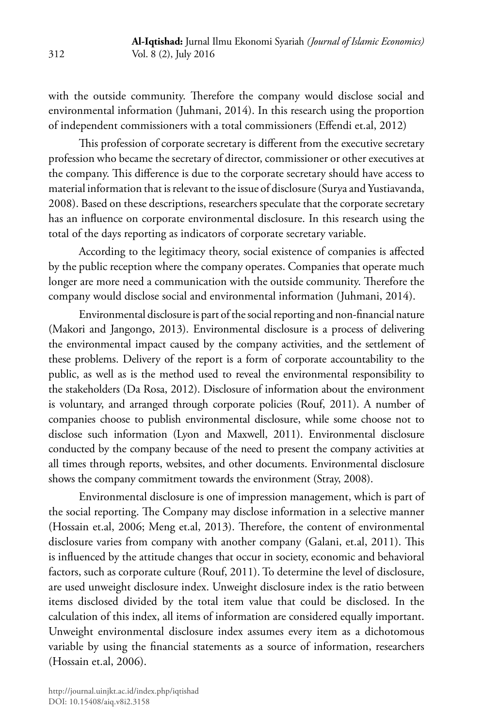with the outside community. Therefore the company would disclose social and environmental information (Juhmani, 2014). In this research using the proportion of independent commissioners with a total commissioners (Effendi et.al, 2012)

This profession of corporate secretary is different from the executive secretary profession who became the secretary of director, commissioner or other executives at the company. This difference is due to the corporate secretary should have access to material information that is relevant to the issue of disclosure (Surya and Yustiavanda, 2008). Based on these descriptions, researchers speculate that the corporate secretary has an influence on corporate environmental disclosure. In this research using the total of the days reporting as indicators of corporate secretary variable.

According to the legitimacy theory, social existence of companies is affected by the public reception where the company operates. Companies that operate much longer are more need a communication with the outside community. Therefore the company would disclose social and environmental information (Juhmani, 2014).

Environmental disclosure is part of the social reporting and non-financial nature (Makori and Jangongo, 2013). Environmental disclosure is a process of delivering the environmental impact caused by the company activities, and the settlement of these problems. Delivery of the report is a form of corporate accountability to the public, as well as is the method used to reveal the environmental responsibility to the stakeholders (Da Rosa, 2012). Disclosure of information about the environment is voluntary, and arranged through corporate policies (Rouf, 2011). A number of companies choose to publish environmental disclosure, while some choose not to disclose such information (Lyon and Maxwell, 2011). Environmental disclosure conducted by the company because of the need to present the company activities at all times through reports, websites, and other documents. Environmental disclosure shows the company commitment towards the environment (Stray, 2008).

Environmental disclosure is one of impression management, which is part of the social reporting. The Company may disclose information in a selective manner (Hossain et.al, 2006; Meng et.al, 2013). Therefore, the content of environmental disclosure varies from company with another company (Galani, et.al, 2011). This is influenced by the attitude changes that occur in society, economic and behavioral factors, such as corporate culture (Rouf, 2011). To determine the level of disclosure, are used unweight disclosure index. Unweight disclosure index is the ratio between items disclosed divided by the total item value that could be disclosed. In the calculation of this index, all items of information are considered equally important. Unweight environmental disclosure index assumes every item as a dichotomous variable by using the financial statements as a source of information, researchers (Hossain et.al, 2006).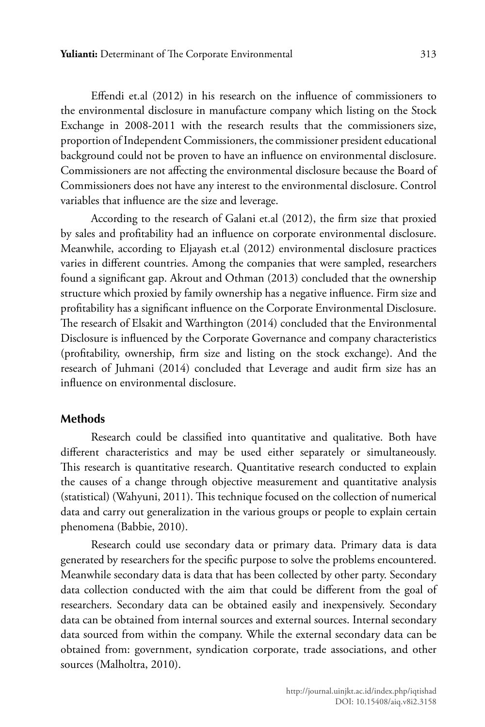Effendi et.al (2012) in his research on the influence of commissioners to the environmental disclosure in manufacture company which listing on the Stock Exchange in 2008-2011 with the research results that the commissioners size, proportion of Independent Commissioners, the commissioner president educational background could not be proven to have an influence on environmental disclosure. Commissioners are not affecting the environmental disclosure because the Board of Commissioners does not have any interest to the environmental disclosure. Control variables that influence are the size and leverage.

According to the research of Galani et.al (2012), the firm size that proxied by sales and profitability had an influence on corporate environmental disclosure. Meanwhile, according to Eljayash et.al (2012) environmental disclosure practices varies in different countries. Among the companies that were sampled, researchers found a significant gap. Akrout and Othman (2013) concluded that the ownership structure which proxied by family ownership has a negative influence. Firm size and profitability has a significant influence on the Corporate Environmental Disclosure. The research of Elsakit and Warthington (2014) concluded that the Environmental Disclosure is influenced by the Corporate Governance and company characteristics (profitability, ownership, firm size and listing on the stock exchange). And the research of Juhmani (2014) concluded that Leverage and audit firm size has an influence on environmental disclosure.

#### **Methods**

Research could be classified into quantitative and qualitative. Both have different characteristics and may be used either separately or simultaneously. This research is quantitative research. Quantitative research conducted to explain the causes of a change through objective measurement and quantitative analysis (statistical) (Wahyuni, 2011). This technique focused on the collection of numerical data and carry out generalization in the various groups or people to explain certain phenomena (Babbie, 2010).

Research could use secondary data or primary data. Primary data is data generated by researchers for the specific purpose to solve the problems encountered. Meanwhile secondary data is data that has been collected by other party. Secondary data collection conducted with the aim that could be different from the goal of researchers. Secondary data can be obtained easily and inexpensively. Secondary data can be obtained from internal sources and external sources. Internal secondary data sourced from within the company. While the external secondary data can be obtained from: government, syndication corporate, trade associations, and other sources (Malholtra, 2010).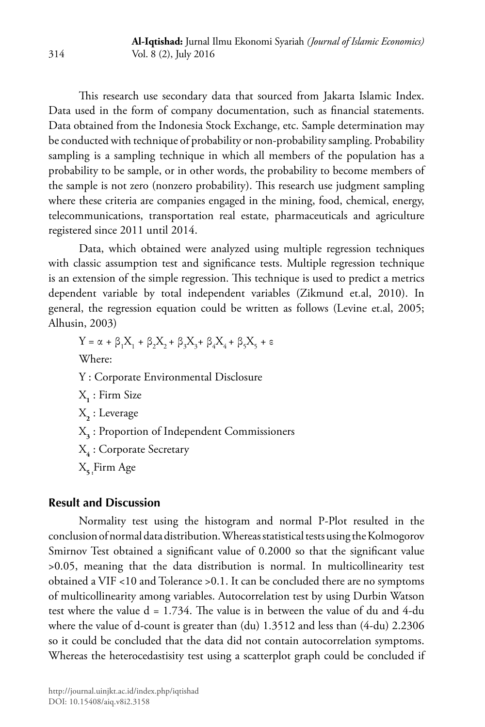This research use secondary data that sourced from Jakarta Islamic Index. Data used in the form of company documentation, such as financial statements. Data obtained from the Indonesia Stock Exchange, etc. Sample determination may be conducted with technique of probability or non-probability sampling. Probability sampling is a sampling technique in which all members of the population has a probability to be sample, or in other words, the probability to become members of the sample is not zero (nonzero probability). This research use judgment sampling where these criteria are companies engaged in the mining, food, chemical, energy, telecommunications, transportation real estate, pharmaceuticals and agriculture registered since 2011 until 2014.

Data, which obtained were analyzed using multiple regression techniques with classic assumption test and significance tests. Multiple regression technique is an extension of the simple regression. This technique is used to predict a metrics dependent variable by total independent variables (Zikmund et.al, 2010). In general, the regression equation could be written as follows (Levine et.al, 2005; Alhusin, 2003)

Y = α + β<sub>1</sub>X<sub>1</sub> + β<sub>2</sub>X<sub>2</sub> + β<sub>3</sub>X<sub>3</sub> + β<sub>4</sub>X<sub>4</sub> + β<sub>5</sub>X<sub>5</sub> + ε Where: Y : Corporate Environmental Disclosure X**1** : Firm Size X**2** : Leverage X**3** : Proportion of Independent Commissioners X**4** : Corporate Secretary X**5 :**Firm Age

# **Result and Discussion**

Normality test using the histogram and normal P-Plot resulted in the conclusion of normal data distribution. Whereas statistical tests using the Kolmogorov Smirnov Test obtained a significant value of 0.2000 so that the significant value >0.05, meaning that the data distribution is normal. In multicollinearity test obtained a VIF <10 and Tolerance >0.1. It can be concluded there are no symptoms of multicollinearity among variables. Autocorrelation test by using Durbin Watson test where the value  $d = 1.734$ . The value is in between the value of du and 4-du where the value of d-count is greater than  $(du)$  1.3512 and less than  $(4-du)$  2.2306 so it could be concluded that the data did not contain autocorrelation symptoms. Whereas the heterocedastisity test using a scatterplot graph could be concluded if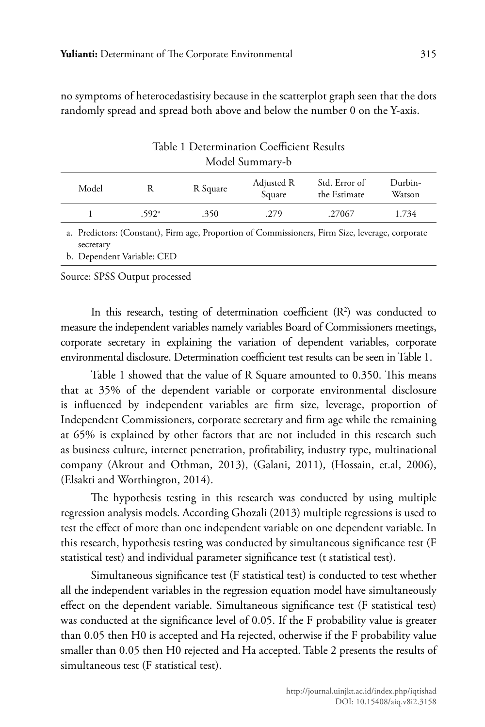no symptoms of heterocedastisity because in the scatterplot graph seen that the dots randomly spread and spread both above and below the number 0 on the Y-axis.

| rapic i Determination Coemerciit Resaits |                           |          |                             |                               |                   |  |  |
|------------------------------------------|---------------------------|----------|-----------------------------|-------------------------------|-------------------|--|--|
| Model Summary-b                          |                           |          |                             |                               |                   |  |  |
| Model                                    | R                         | R Square |                             | Std. Error of<br>the Estimate | Durbin-<br>Watson |  |  |
|                                          | .592 <sup>a</sup><br>.350 |          | .279                        | .27067                        | 1.734             |  |  |
| $\sim$ $\sim$ $\sim$                     | $\sim$ $-$                |          | $\sim$ $\sim$ $\sim$ $\sim$ |                               |                   |  |  |

Table 1 Determination Coefficient Results

a. Predictors: (Constant), Firm age, Proportion of Commissioners, Firm Size, leverage, corporate secretary

b. Dependent Variable: CED

Source: SPSS Output processed

In this research, testing of determination coefficient  $(R^2)$  was conducted to measure the independent variables namely variables Board of Commissioners meetings, corporate secretary in explaining the variation of dependent variables, corporate environmental disclosure. Determination coefficient test results can be seen in Table 1.

Table 1 showed that the value of R Square amounted to 0.350. This means that at 35% of the dependent variable or corporate environmental disclosure is influenced by independent variables are firm size, leverage, proportion of Independent Commissioners, corporate secretary and firm age while the remaining at 65% is explained by other factors that are not included in this research such as business culture, internet penetration, profitability, industry type, multinational company (Akrout and Othman, 2013), (Galani, 2011), (Hossain, et.al, 2006), (Elsakti and Worthington, 2014).

The hypothesis testing in this research was conducted by using multiple regression analysis models. According Ghozali (2013) multiple regressions is used to test the effect of more than one independent variable on one dependent variable. In this research, hypothesis testing was conducted by simultaneous significance test (F statistical test) and individual parameter significance test (t statistical test).

Simultaneous significance test (F statistical test) is conducted to test whether all the independent variables in the regression equation model have simultaneously effect on the dependent variable. Simultaneous significance test (F statistical test) was conducted at the significance level of 0.05. If the F probability value is greater than 0.05 then H0 is accepted and Ha rejected, otherwise if the F probability value smaller than 0.05 then H0 rejected and Ha accepted. Table 2 presents the results of simultaneous test (F statistical test).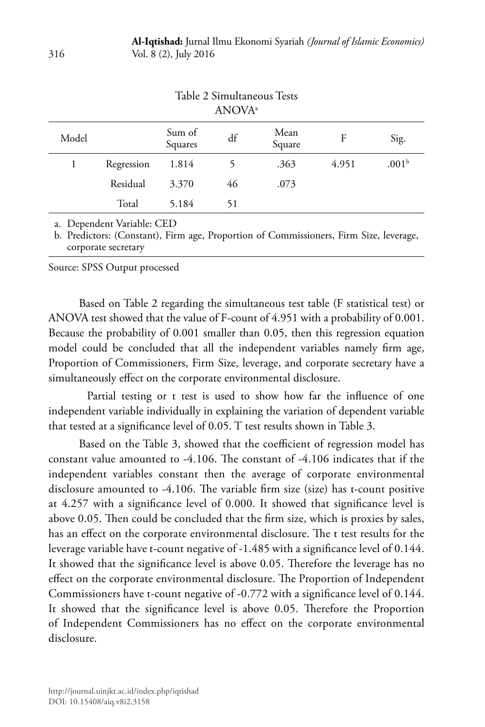|       |            |                   | ANOVA <sup>a</sup> |                |       |                   |
|-------|------------|-------------------|--------------------|----------------|-------|-------------------|
| Model |            | Sum of<br>Squares | df                 | Mean<br>Square | F     | Sig.              |
| 1     | Regression | 1.814             |                    | .363           | 4.951 | .001 <sup>b</sup> |
|       | Residual   | 3.370             | 46                 | .073           |       |                   |
|       | Total      | 5.184             | 51                 |                |       |                   |
|       |            |                   |                    |                |       |                   |

# Table 2 Simultaneous Tests

a. Dependent Variable: CED

b. Predictors: (Constant), Firm age, Proportion of Commissioners, Firm Size, leverage, corporate secretary

Source: SPSS Output processed

Based on Table 2 regarding the simultaneous test table (F statistical test) or ANOVA test showed that the value of F-count of 4.951 with a probability of 0.001. Because the probability of 0.001 smaller than 0.05, then this regression equation model could be concluded that all the independent variables namely firm age, Proportion of Commissioners, Firm Size, leverage, and corporate secretary have a simultaneously effect on the corporate environmental disclosure.

Partial testing or t test is used to show how far the influence of one independent variable individually in explaining the variation of dependent variable that tested at a significance level of 0.05. T test results shown in Table 3.

Based on the Table 3, showed that the coefficient of regression model has constant value amounted to -4.106. The constant of -4.106 indicates that if the independent variables constant then the average of corporate environmental disclosure amounted to -4.106. The variable firm size (size) has t-count positive at 4.257 with a significance level of 0.000. It showed that significance level is above 0.05. Then could be concluded that the firm size, which is proxies by sales, has an effect on the corporate environmental disclosure. The t test results for the leverage variable have t-count negative of -1.485 with a significance level of 0.144. It showed that the significance level is above 0.05. Therefore the leverage has no effect on the corporate environmental disclosure. The Proportion of Independent Commissioners have t-count negative of -0.772 with a significance level of 0.144. It showed that the significance level is above 0.05. Therefore the Proportion of Independent Commissioners has no effect on the corporate environmental disclosure.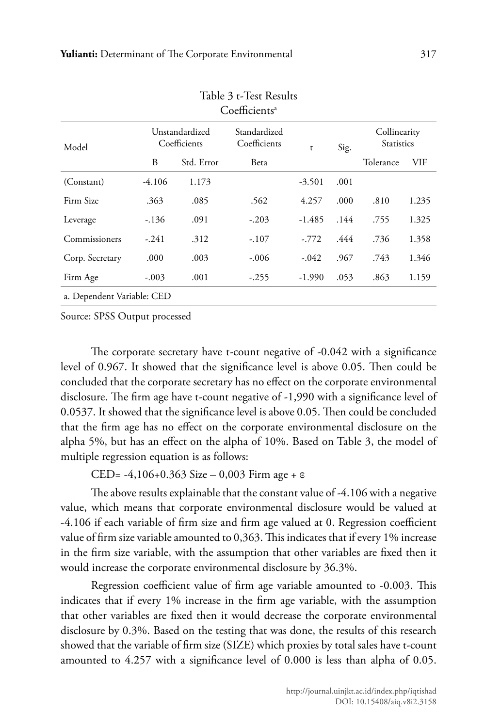| Coefficients <sup>a</sup>  |                                |            |                              |          |      |                                   |       |  |
|----------------------------|--------------------------------|------------|------------------------------|----------|------|-----------------------------------|-------|--|
| Model                      | Unstandardized<br>Coefficients |            | Standardized<br>Coefficients | t        | Sig. | Collinearity<br><b>Statistics</b> |       |  |
|                            | B                              | Std. Error | Beta                         |          |      | Tolerance                         | VIF   |  |
| (Constant)                 | $-4.106$                       | 1.173      |                              | $-3.501$ | .001 |                                   |       |  |
| Firm Size                  | .363                           | .085       | .562                         | 4.257    | .000 | .810                              | 1.235 |  |
| Leverage                   | $-.136$                        | .091       | $-.203$                      | -1.485   | .144 | .755                              | 1.325 |  |
| Commissioners              | $-.241$                        | .312       | $-.107$                      | $-.772$  | .444 | .736                              | 1.358 |  |
| Corp. Secretary            | .000                           | .003       | $-.006$                      | $-.042$  | .967 | .743                              | 1.346 |  |
| Firm Age                   | $-.003$                        | .001       | $-.255$                      | $-1.990$ | .053 | .863                              | 1.159 |  |
| a. Dependent Variable: CED |                                |            |                              |          |      |                                   |       |  |

# Table 3 t-Test Results

Source: SPSS Output processed

The corporate secretary have t-count negative of -0.042 with a significance level of 0.967. It showed that the significance level is above 0.05. Then could be concluded that the corporate secretary has no effect on the corporate environmental disclosure. The firm age have t-count negative of -1,990 with a significance level of 0.0537. It showed that the significance level is above 0.05. Then could be concluded that the firm age has no effect on the corporate environmental disclosure on the alpha 5%, but has an effect on the alpha of 10%. Based on Table 3, the model of multiple regression equation is as follows:

CED= -4,106+0.363 Size – 0,003 Firm age + ε

The above results explainable that the constant value of -4.106 with a negative value, which means that corporate environmental disclosure would be valued at -4.106 if each variable of firm size and firm age valued at 0. Regression coefficient value of firm size variable amounted to 0,363. This indicates that if every 1% increase in the firm size variable, with the assumption that other variables are fixed then it would increase the corporate environmental disclosure by 36.3%.

Regression coefficient value of firm age variable amounted to -0.003. This indicates that if every 1% increase in the firm age variable, with the assumption that other variables are fixed then it would decrease the corporate environmental disclosure by 0.3%. Based on the testing that was done, the results of this research showed that the variable of firm size (SIZE) which proxies by total sales have t-count amounted to 4.257 with a significance level of 0.000 is less than alpha of 0.05.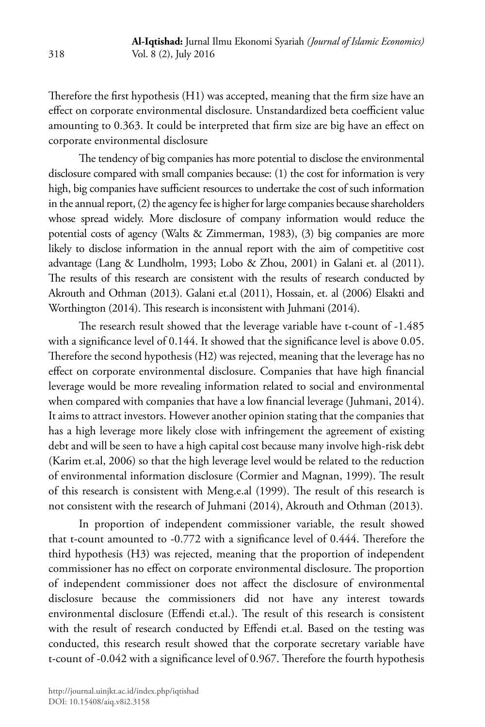Therefore the first hypothesis (H1) was accepted, meaning that the firm size have an effect on corporate environmental disclosure. Unstandardized beta coefficient value amounting to 0.363. It could be interpreted that firm size are big have an effect on corporate environmental disclosure

The tendency of big companies has more potential to disclose the environmental disclosure compared with small companies because: (1) the cost for information is very high, big companies have sufficient resources to undertake the cost of such information in the annual report, (2) the agency fee is higher for large companies because shareholders whose spread widely. More disclosure of company information would reduce the potential costs of agency (Walts & Zimmerman, 1983), (3) big companies are more likely to disclose information in the annual report with the aim of competitive cost advantage (Lang & Lundholm, 1993; Lobo & Zhou, 2001) in Galani et. al (2011). The results of this research are consistent with the results of research conducted by Akrouth and Othman (2013). Galani et.al (2011), Hossain, et. al (2006) Elsakti and Worthington (2014). This research is inconsistent with Juhmani (2014).

The research result showed that the leverage variable have t-count of -1.485 with a significance level of 0.144. It showed that the significance level is above 0.05. Therefore the second hypothesis (H2) was rejected, meaning that the leverage has no effect on corporate environmental disclosure. Companies that have high financial leverage would be more revealing information related to social and environmental when compared with companies that have a low financial leverage (Juhmani, 2014). It aims to attract investors. However another opinion stating that the companies that has a high leverage more likely close with infringement the agreement of existing debt and will be seen to have a high capital cost because many involve high-risk debt (Karim et.al, 2006) so that the high leverage level would be related to the reduction of environmental information disclosure (Cormier and Magnan, 1999). The result of this research is consistent with Meng.e.al (1999). The result of this research is not consistent with the research of Juhmani (2014), Akrouth and Othman (2013).

In proportion of independent commissioner variable, the result showed that t-count amounted to -0.772 with a significance level of 0.444. Therefore the third hypothesis (H3) was rejected, meaning that the proportion of independent commissioner has no effect on corporate environmental disclosure. The proportion of independent commissioner does not affect the disclosure of environmental disclosure because the commissioners did not have any interest towards environmental disclosure (Effendi et.al.). The result of this research is consistent with the result of research conducted by Effendi et.al. Based on the testing was conducted, this research result showed that the corporate secretary variable have t-count of -0.042 with a significance level of 0.967. Therefore the fourth hypothesis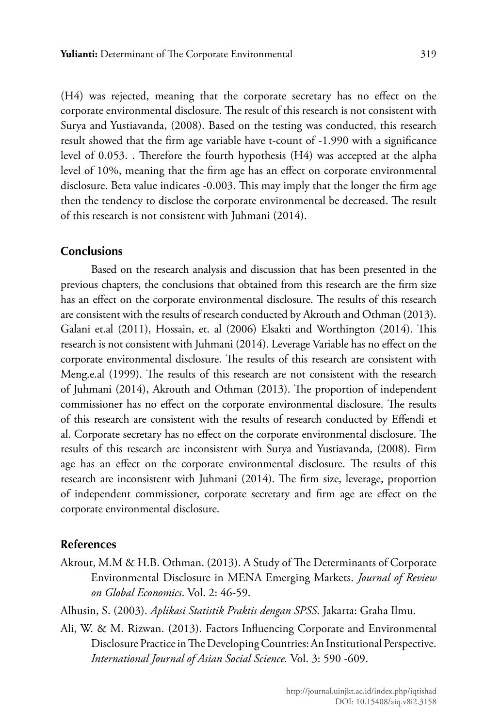(H4) was rejected, meaning that the corporate secretary has no effect on the corporate environmental disclosure. The result of this research is not consistent with Surya and Yustiavanda, (2008). Based on the testing was conducted, this research result showed that the firm age variable have t-count of -1.990 with a significance level of 0.053. . Therefore the fourth hypothesis (H4) was accepted at the alpha level of 10%, meaning that the firm age has an effect on corporate environmental disclosure. Beta value indicates -0.003. This may imply that the longer the firm age then the tendency to disclose the corporate environmental be decreased. The result of this research is not consistent with Juhmani (2014).

#### **Conclusions**

Based on the research analysis and discussion that has been presented in the previous chapters, the conclusions that obtained from this research are the firm size has an effect on the corporate environmental disclosure. The results of this research are consistent with the results of research conducted by Akrouth and Othman (2013). Galani et.al (2011), Hossain, et. al (2006) Elsakti and Worthington (2014). This research is not consistent with Juhmani (2014). Leverage Variable has no effect on the corporate environmental disclosure. The results of this research are consistent with Meng.e.al (1999). The results of this research are not consistent with the research of Juhmani (2014), Akrouth and Othman (2013). The proportion of independent commissioner has no effect on the corporate environmental disclosure. The results of this research are consistent with the results of research conducted by Effendi et al. Corporate secretary has no effect on the corporate environmental disclosure. The results of this research are inconsistent with Surya and Yustiavanda, (2008). Firm age has an effect on the corporate environmental disclosure. The results of this research are inconsistent with Juhmani (2014). The firm size, leverage, proportion of independent commissioner, corporate secretary and firm age are effect on the corporate environmental disclosure.

#### **References**

- Akrout, M.M & H.B. Othman. (2013). A Study of The Determinants of Corporate Environmental Disclosure in MENA Emerging Markets. *Journal of Review on Global Economics*. Vol. 2: 46-59.
- Alhusin, S. (2003). *Aplikasi Statistik Praktis dengan SPSS*. Jakarta: Graha Ilmu.
- Ali, W. & M. Rizwan. (2013). Factors Influencing Corporate and Environmental Disclosure Practice in The Developing Countries: An Institutional Perspective. *International Journal of Asian Social Science.* Vol. 3: 590 -609.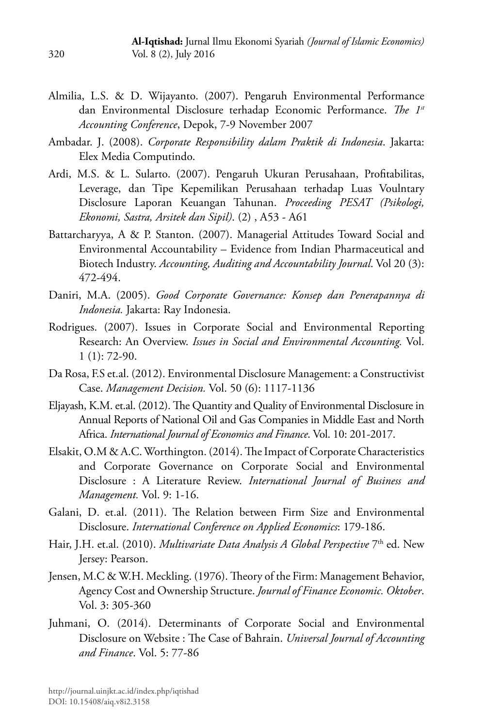- Almilia, L.S. & D. Wijayanto. (2007). Pengaruh Environmental Performance dan Environmental Disclosure terhadap Economic Performance. *The 1st Accounting Conference*, Depok, 7-9 November 2007
- Ambadar. J. (2008). *Corporate Responsibility dalam Praktik di Indonesia*. Jakarta: Elex Media Computindo.
- Ardi, M.S. & L. Sularto. (2007). Pengaruh Ukuran Perusahaan, Profitabilitas, Leverage, dan Tipe Kepemilikan Perusahaan terhadap Luas Voulntary Disclosure Laporan Keuangan Tahunan. *Proceeding PESAT (Psikologi, Ekonomi, Sastra, Arsitek dan Sipil)*. (2) , A53 - A61
- Battarcharyya, A & P. Stanton. (2007). Managerial Attitudes Toward Social and Environmental Accountability – Evidence from Indian Pharmaceutical and Biotech Industry. *Accounting, Auditing and Accountability Journal*. Vol 20 (3): 472-494.
- Daniri, M.A. (2005). *Good Corporate Governance: Konsep dan Penerapannya di Indonesia.* Jakarta: Ray Indonesia.
- Rodrigues. (2007). Issues in Corporate Social and Environmental Reporting Research: An Overview. *Issues in Social and Environmental Accounting.* Vol. 1 (1): 72-90.
- Da Rosa, F.S et.al. (2012). Environmental Disclosure Management: a Constructivist Case. *Management Decision.* Vol. 50 (6): 1117-1136
- Eljayash, K.M. et.al. (2012). The Quantity and Quality of Environmental Disclosure in Annual Reports of National Oil and Gas Companies in Middle East and North Africa. *International Journal of Economics and Finance*. Vol. 10: 201-2017.
- Elsakit, O.M & A.C. Worthington. (2014). The Impact of Corporate Characteristics and Corporate Governance on Corporate Social and Environmental Disclosure : A Literature Review. *International Journal of Business and Management.* Vol. 9: 1-16.
- Galani, D. et.al. (2011). The Relation between Firm Size and Environmental Disclosure. *International Conference on Applied Economics*: 179-186.
- Hair, J.H. et.al. (2010). *Multivariate Data Analysis A Global Perspective* 7<sup>th</sup> ed. New Jersey: Pearson.
- Jensen, M.C & W.H. Meckling. (1976). Theory of the Firm: Management Behavior, Agency Cost and Ownership Structure. *Journal of Finance Economic. Oktober*. Vol. 3: 305-360
- Juhmani, O. (2014). Determinants of Corporate Social and Environmental Disclosure on Website : The Case of Bahrain. *Universal Journal of Accounting and Finance*. Vol. 5: 77-86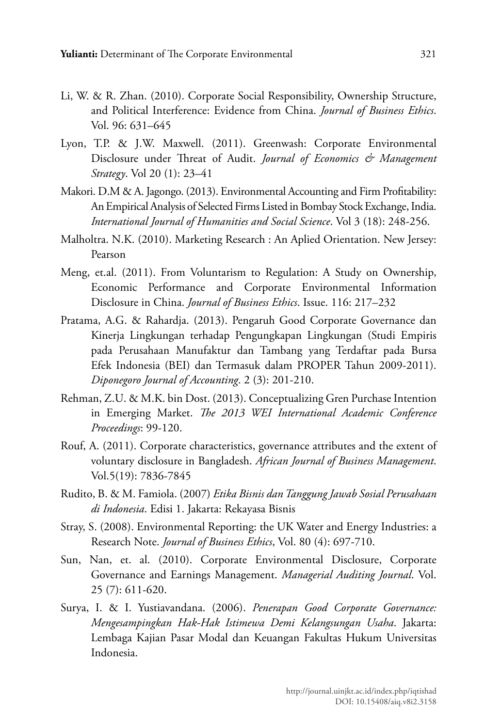- Li, W. & R. Zhan. (2010). Corporate Social Responsibility, Ownership Structure, and Political Interference: Evidence from China. *Journal of Business Ethics*. Vol. 96: 631–645
- Lyon, T.P. & J.W. Maxwell. (2011). Greenwash: Corporate Environmental Disclosure under Threat of Audit. *Journal of Economics & Management Strategy*. Vol 20 (1): 23–41
- Makori. D.M & A. Jagongo. (2013). Environmental Accounting and Firm Profitability: An Empirical Analysis of Selected Firms Listed in Bombay Stock Exchange, India. *International Journal of Humanities and Social Science*. Vol 3 (18): 248-256.
- Malholtra. N.K. (2010). Marketing Research : An Aplied Orientation. New Jersey: Pearson
- Meng, et.al. (2011). From Voluntarism to Regulation: A Study on Ownership, Economic Performance and Corporate Environmental Information Disclosure in China. *Journal of Business Ethics*. Issue. 116: 217–232
- Pratama, A.G. & Rahardja. (2013). Pengaruh Good Corporate Governance dan Kinerja Lingkungan terhadap Pengungkapan Lingkungan (Studi Empiris pada Perusahaan Manufaktur dan Tambang yang Terdaftar pada Bursa Efek Indonesia (BEI) dan Termasuk dalam PROPER Tahun 2009-2011). *Diponegoro Journal of Accounting*. 2 (3): 201-210.
- Rehman, Z.U. & M.K. bin Dost. (2013). Conceptualizing Gren Purchase Intention in Emerging Market. *The 2013 WEI International Academic Conference Proceedings*: 99-120.
- Rouf, A. (2011). Corporate characteristics, governance attributes and the extent of voluntary disclosure in Bangladesh. *African Journal of Business Management*. Vol.5(19): 7836-7845
- Rudito, B. & M. Famiola. (2007) *Etika Bisnis dan Tanggung Jawab Sosial Perusahaan di Indonesia*. Edisi 1. Jakarta: Rekayasa Bisnis
- Stray, S. (2008). Environmental Reporting: the UK Water and Energy Industries: a Research Note. *Journal of Business Ethics*, Vol. 80 (4): 697-710.
- Sun, Nan, et. al. (2010). Corporate Environmental Disclosure, Corporate Governance and Earnings Management. *Managerial Auditing Journal*. Vol. 25 (7): 611-620.
- Surya, I. & I. Yustiavandana. (2006). *Penerapan Good Corporate Governance: Mengesampingkan Hak-Hak Istimewa Demi Kelangsungan Usaha*. Jakarta: Lembaga Kajian Pasar Modal dan Keuangan Fakultas Hukum Universitas Indonesia.